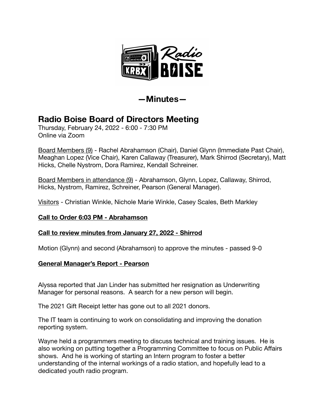

**—Minutes—** 

# **Radio Boise Board of Directors Meeting**

Thursday, February 24, 2022 - 6:00 - 7:30 PM Online via Zoom

Board Members (9) - Rachel Abrahamson (Chair), Daniel Glynn (Immediate Past Chair), Meaghan Lopez (Vice Chair), Karen Callaway (Treasurer), Mark Shirrod (Secretary), Matt Hicks, Chelle Nystrom, Dora Ramirez, Kendall Schreiner.

Board Members in attendance (9) - Abrahamson, Glynn, Lopez, Callaway, Shirrod, Hicks, Nystrom, Ramirez, Schreiner, Pearson (General Manager).

Visitors - Christian Winkle, Nichole Marie Winkle, Casey Scales, Beth Markley

## **Call to Order 6:03 PM - Abrahamson**

## **Call to review minutes from January 27, 2022 - Shirrod**

Motion (Glynn) and second (Abrahamson) to approve the minutes - passed 9-0

## **General Manager's Report - Pearson**

Alyssa reported that Jan Linder has submitted her resignation as Underwriting Manager for personal reasons. A search for a new person will begin.

The 2021 Gift Receipt letter has gone out to all 2021 donors.

The IT team is continuing to work on consolidating and improving the donation reporting system.

Wayne held a programmers meeting to discuss technical and training issues. He is also working on putting together a Programming Committee to focus on Public Affairs shows. And he is working of starting an Intern program to foster a better understanding of the internal workings of a radio station, and hopefully lead to a dedicated youth radio program.